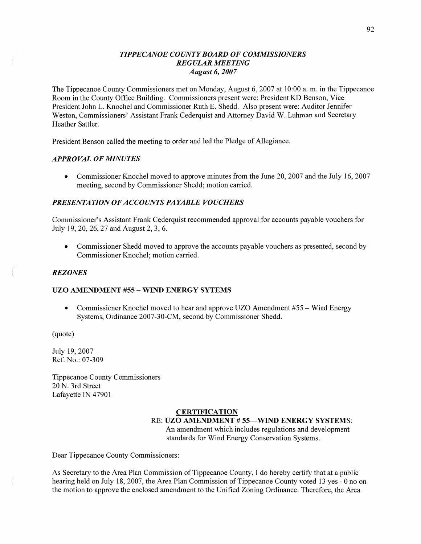# *TIPPECANOE* C0 UN TY *BOARD* OF *COMMISSIONERS REGULAR MEETING August* 6, *2007*

The Tippecanoe County Commissioners met on Monday, August 6, 2007 at 10:00 a. m. in the Tippecanoe Room in the County Office Building. Commissioners present were: President KD Benson, Vice President John L. Knochel and Commissioner Ruth B. Shedd. Also present were: Auditor Jennifer Weston, Commissioners' Assistant Frank Cederquist and Attorney David W. Luhman and Secretary Heather Sattler.

President Benson called the meeting to order and led the Pledge of Allegiance.

# *APPROVAL* OF *MINUTES*

• Commissioner Knochel moved to approve minutes from the June 20, 2007 and the July 16, 2007 meeting, second by Commissioner Shedd; motion carried.

# **PRESENTATION OF ACCOUNTS PAYABLE VOUCHERS**

Commissioner's Assistant Frank Cederquist recommended approval for accounts payable vouchers for July 19, 20, 26, 27 and August 2, 3, 6.

**0** Commissioner Shedd moved to approve the accounts payable vouchers as presented, second by Commissioner Knochel; motion carried.

## REZ *ONES*

# UZO **AMENDMENT** #55 **— WIND ENERGY SYTEMS**

**0** Commissioner Knochel moved to hear and approve UZO Amendment #55 **—** Wind Energy Systems, Ordinance 2007-30-CM, second by Commissioner Shedd.

(quote)

July 19, 2007 Ref. No.: 07-309

Tippecanoe County Commissioners 20 N. 3rd Street Lafayette IN 47901

## **CERTIFICATION**  RE: UZO **AMENDMENT # 55—m ENERGY SYSTEMS:**

An amendment which includes regulations and development standards for Wind Energy Conservation Systems.

Dear Tippecanoe County Commissioners:

As Secretary to the Area Plan Commission of Tippecanoe County, I do hereby certify **that** at a public hearing held on July 18, 2007, the Area Plan Commission of Tippecanoe County voted 13 yes *-* 0 no on the motion to approve the enclosed amendment to the Unified Zoning Ordinance. Therefore, the Area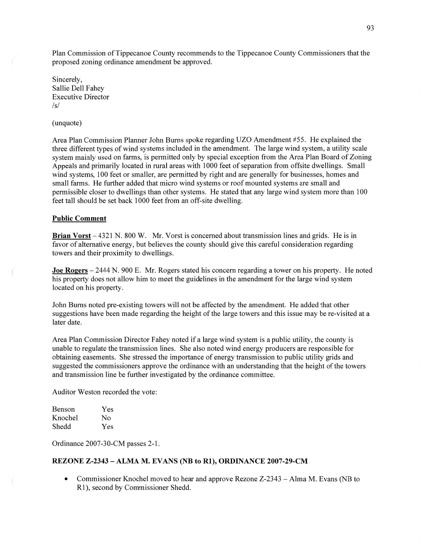Plan Commission of Tippecanoe County recommends to the Tippecanoe County Commissioners that the proposed zoning ordinance amendment be approved.

Sincerely, Sallie Dell Fahey Executive Director  $\sqrt{s}$ 

#### (unquote)

Area **Plan** Commission Planner John Burns spoke regarding UZO Amendment #55. He explained the three different types of Wind systems included in the amendment. The large Wind system, a utility scale system mainly used on farms, is permitted only by special exception from the Area Plan Board of Zoning Appeals and primarily located in rural areas with 1000 feet of separation from offsite dwellings. Small wind systems, 100 feet or smaller, are permitted by right and are generally for businesses, homes and small farms. He further added that micro wind systems or roof mounted systems are small and permissible closer to dwellings than other systems. He stated that any large wind system more **than** 100 feet tall should be set back 1000 feet from an off-site dwelling.

### **Public Comment**

**Brian Vorst —** 4321 N. 800 W. Mr. Vorst is concerned about transmission lines and grids. He is in favor of alternative energy, but believes the county should give this careful consideration regarding towers and their proximity to dwellings.

Joe **Rogers** — 2444 N. 900 E. Mr. Rogers stated his concern regarding a tower on his property. He noted his property does not allow him to meet the guidelines in the amendment for the large wind system located on his property.

John Burns noted pre—existing towers will not be affected by the amendment. He added that other suggestions have been made regarding the height of the large towers and this issue may be re-visited at a later date.

Area Plan Commission Director Fahey noted if a large wind system is a public utility, the county is unable to regulate the transmission lines. She also noted Wind energy producers are responsible for obtaining easements. She stressed the importance of energy transmission to public utility grids and suggested the commissioners approve the ordinance with an understanding that the height of the towers and transmission line be further investigated by the ordinance committee.

Auditor Weston recorded the vote:

| Benson  | Yes |
|---------|-----|
| Knochel | No  |
| Shedd   | Yes |

Ordinance 2007-30—CM passes 2—1.

# **REZONE Z-2343 — ALMA** M. **EVANS** (NB to **R1), ORDINANCE 2007—29-CM**

**0** Commissioner Knochel moved to hear and approve Rezone Z-2343 *—* Alma M. Evans (NB to R1), second by Commissioner Shedd.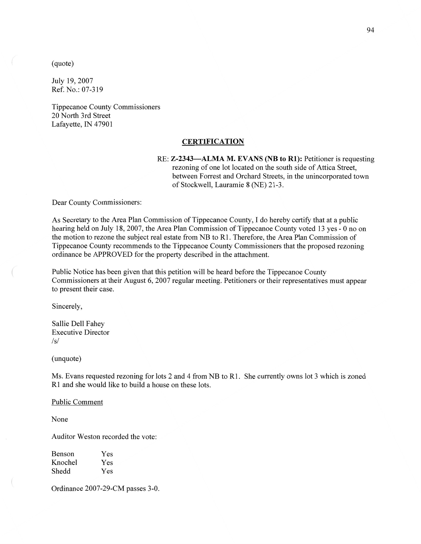(quote)

July 19, 2007 Ref. **No.:** 07-319

Tippecanoe County Commissioners 20 North 3rd Street Lafayette, IN 47901

#### **CERTIFICATION**

RE: **Z-2343—ALMA** M. **EVANS** (NB to **R1):** Petitioner is requesting rezoning of one lot located on the south side of Attica Street, between Forrest and Orchard Streets, in the unincorporated town of Stockwell, Lauramie **8** (NE) 21-3.

Dear County Commissioners:

As Secretary to the Area Plan Commission of Tippecanoe County, I do hereby certify that at a public hearing held on July 18, 2007, the Area Plan Commission of Tippecanoe County voted 13 yes - 0 no on the motion to rezone the subject real estate from NB to R1. Therefore, the Area Plan Commission of Tippecanoe County recommends to the Tippecanoe County Commissioners that the proposed rezoning ordinance be APPROVED for the property described in the attachment.

Public Notice has been given that this petition will be heard before the Tippecanoe County Commissioners at their August 6, 2007 regular meeting. Petitioners or their representatives must appear to present their case.

Sincerely,

Sallie Dell Fahey Executive Director /s/

(unquote)

Ms. Evans requested rezoning for lots 2 and 4 from NB to R1. She currently owns lot 3 which is zoned R1 and she would like to build a house on these lots.

Public Comment

None

Auditor Weston recorded the vote:

| <b>Benson</b> | Yes |
|---------------|-----|
| Knochel       | Yes |
| Shedd         | Yes |

Ordinance 2007—29-CM passes 3-0.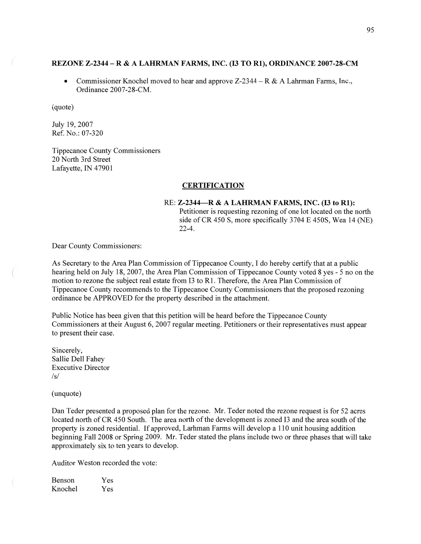#### **REZONE Z—2344 —** R **& A LAHRMAN FARMS, INC.** (I3 TO **R1), ORDINANCE 2007-28—CM**

**0** Commissioner Knochel moved to hear and approve Z-2344 — R & A Lahrman Farms, Inc., Ordinance 2007-28-CM.

(quote)

July 19, 2007 Ref. N0.: 07-320

Tippecanoe County Commissioners 20 North 3rd Street Lafayette, IN 47901

#### **CERTIFICATION**

## RE: **Z—2344—R & A LAHRMAN FARMS, INC.** (13 to **R1):**  Petitioner is requesting rezoning of one lot located on the north side of CR 450 S, more specifically 3704 E 4508, Wea 14 (NE) 22-4.

Dear County Commissioners:

As Secretary to the Area Plan Commission of Tippecanoe County, I do hereby certify that at **a** public hearing held on July 18, 2007, the Area Plan Commission of Tippecanoe County voted 8 yes - 5 no on the motion to rezone the subject real estate from 13 to R1. Therefore, the Area Plan Commission of Tippecanoe County recommends to the Tippecanoe County Commissioners **that** the proposed rezoning ordinance be APPROVED for the property described in the attachment.

Public Notice has been given that this petition will be heard before the Tippecanoe County Commissioners at their August 6, 2007 regular meeting. Petitioners or their representatives must appear to present their case.

Sincerely, Sallie Dell Fahey Executive Director  $/s/$ 

(unquote)

Dan Teder presented a proposed plan for the rezone. Mr. Teder noted the rezone request is for 52 acres located north of CR 450 South. The area north of the development is zoned I3 and the area south of the property is zoned residential. If approved, Larhman Farms will develop **a** 110 unit housing addition beginning Fall 2008 or Spring 2009. Mr. Teder stated the plans include two or three phases that will take approximately six to ten years to develop.

Auditor Weston recorded the vote:

| <b>Benson</b> | <b>Yes</b> |
|---------------|------------|
| Knochel       | Yes        |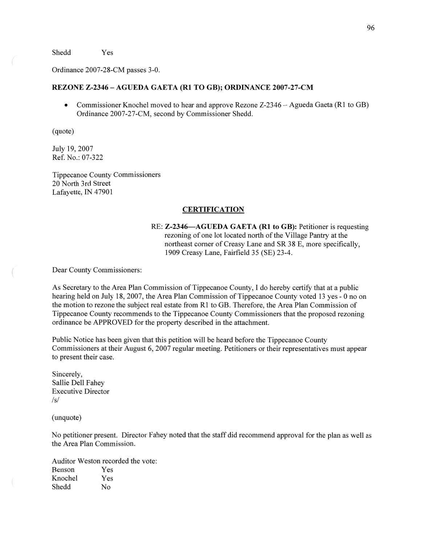Shedd Yes

Ordinance 2007-28-CM passes 3-0.

### **REZONE Z-2346** — **AGUEDA GAETA** (R1 TO **GB); ORDINANCE 2007-27-CM**

**0** Commissioner Knochel moved to hear and approve Rezone Z-2346 — Agueda Gaeta (R1 to GB) Ordinance 2007-27-CM, second by Commissioner Shedd.

(quote)

July 19, 2007 Ref. No.: 07-322

Tippecanoe County Commissioners 20 North 3rd Street Lafayette, IN 47901

### **CERTIFICATION**

RE: **Z-2346—AGUEDA GAETA** (R1 to **GB):** Petitioner is requesting rezoning of one lot located north of the Village Pantry at the northeast corner of Creasy Lane and SR 38 E, more specifically, 1909 Creasy Lane, Fairfield 35 (SE) 23-4.

Dear County Commissioners:

As Secretary to the Area Plan Commission of Tippecanoe County, **I** do hereby certify that at a public hearing held on July 18, 2007, the Area Plan Commission of Tippecanoe County voted 13 yes *-* 0 no on the motion to rezone the subject real estate from R1 to GB. Therefore, the Area Plan Commission of Tippecanoe County recommends to the Tippecanoe County Commissioners **that** the proposed rezoning ordinance be APPROVED for the property described in the attachment.

Public Notice has been given that this petition will be heard before the Tippecanoe County Commissioners at their August 6, 2007 regular meeting. Petitioners or their representatives must appear to present their case.

Sincerely, Sallie Dell Fahey Executive Director /s/

(unquote)

No petitioner present. Director Fahey noted that the staff did recommend approval for the plan as well as the Area Plan Commission.

Auditor Weston recorded the vote: Benson Yes Knochel Yes Shedd No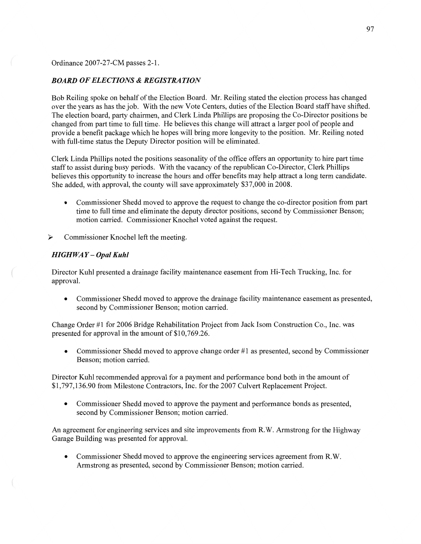Ordinance 2007-27-CM passes **2-1.** 

#### *BOARD* OF *ELECTIONS & REGISTRATION*

Bob Reiling spoke on behalf of the Election Board. Mr. Reiling stated the election process has changed over the years as has the job. With the new Vote Centers, duties of the Election Board staff have shifted. The election board, party chairmen, and Clerk Linda Phillips are proposing the Co-Director positions be changed from part time to fill time. He believes this change will attract a larger pool of people and provide **a** benefit package which he hopes will bring more longevity to the position. Mr. Reiling noted with full-time status the Deputy Director position will be eliminated.

Clerk Linda Phillips noted the positions seasonality of the office offers an opportunity to hire part time staff to assist during busy periods. With the vacancy of the republican Co-Director, Clerk Phillips believes this opportunity to increase the hours and offer benefits may help attract a long term candidate. She added, with approval, the county will save approximately \$37,000 in 2008.

- **0** Commissioner Shedd moved to approve the request to change the co-director position from part **time** to full time and eliminate the deputy director positions, second by Commissioner Benson; motion carried. Commissioner Knochel voted against the request.
- **<sup>&</sup>gt;**Commissioner Knochel **left** the meeting.

#### $HIGHWAY - Opal Kuhl$

Director Kuhl presented **a** drainage facility maintenance easement from Hi-Tech Trucking, Inc. for approval.

**0** Commissioner Shedd moved to approve the drainage facility maintenance easement as presented, second by Commissioner Benson; motion carried.

Change Order #1 for 2006 Bridge Rehabilitation Project from Jack Isom Construction Co., Inc. was presented for approval in the amount of \$10,769.26.

**0** Commissioner Shedd moved to approve change order #1 as presented, second by Commissioner Benson; motion **carried.** 

Director Kuhl recommended approval for a payment and performance bond both in the amount of \$1,797,136.90 from Milestone Contractors, Inc. for the 2007 Culvert Replacement Project.

**0** Commissioner Shedd moved to approve the payment and performance bonds as presented, second by Commissioner Benson; motion carried.

An agreement for engineering services and site improvements from R.W. Armstrong for the Highway Garage Building was presented for approval.

**0 Commissioner** Shedd moved to approve the engineering services agreement from **R.W.**  Armstrong as presented, second by Commissioner Benson; motion carried.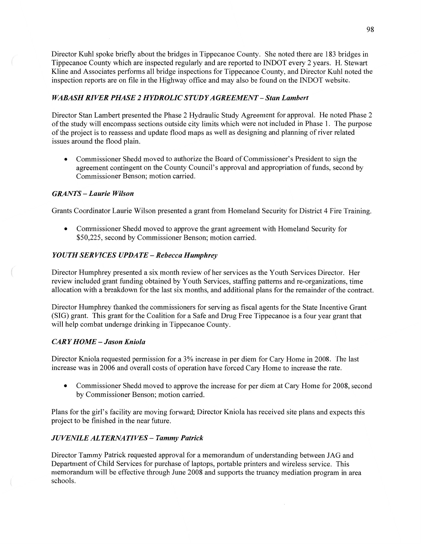Director Kuhl spoke briefly about the bridges in Tippecanoe County. She noted there are 183 bridges in Tippecanoe County which are inspected regularly and are reported to INDOT every 2 years. H. Stewart Kline and Associates performs all bridge inspections for Tippecanoe County, and Director Kuhl noted the inspection reports are on file in the Highway office and may also be found on the INDOT website.

# *WABASH RIVER PHASE 2 HYDROLIC STUD* YA *GREEMENT* **—** *Stan Lambert*

Director Stan Lambert presented the Phase 2 Hydraulic Study Agreement for approval. He noted Phase 2 of the study will encompass sections outside city limits which were not included in Phase 1. The purpose of the project is to reassess and update flood maps as well as designing and planning of river related issues around the flood plain.

**0** Commissioner Shedd moved to authorize the Board of Commissioner's President to sign the agreement contingent on the County Council's approval and appropriation of funds, second by Commissioner Benson; motion carried.

# *GRANTS* — *Laurie Wilson*

Grants Coordinator Laurie Wilson presented **a** grant from Homeland Security for District 4 Fire Training.

**0** Commissioner Shedd moved to approve the grant agreement with Homeland Security for \$50,225, second by Commissioner Benson; motion carried.

# *YOUTH SERVICES UPDATE — Rebecca Humphrey*

Director Humphrey presented a six **month** review of her services as the Youth Services Director. Her review included grant funding obtained by Youth Services, staffing patterns and re-organizations, time allocation with a breakdown for the last six months, and additional plans for the remainder of the contract.

Director Humphrey thanked the commissioners for serving as fiscal agents for the State Incentive Grant (SIG) grant. This grant for the Coalition for **a** Safe and Drug Free Tippecanoe is **a** four year grant that will help combat underage drinking in Tippecanoe County.

# *CARY HOME* **—** *Jason Kniola*

Director Kniola requested permission for a 3% increase in per diem for Cary Home in 2008. The last increase was in 2006 and overall costs of operation have forced Cary Home to increase the rate.

**0** Commissioner Shedd moved to approve the increase for per diem at Cary Home for 2008, second by Commissioner Benson; motion carried.

Plans for the girl's facility are moving forward; Director Kniola has received site plans and expects this project to be finished in the near future.

# *JUVENILE ALTERNATIVES* **—** *Tammy Patrick*

Director Tammy Patrick requested approval for a memorandum of understanding between JAG and Department of Child Services for purchase of laptops, portable printers and wireless **service.** This memorandum will be effective through June 2008 and supports the truancy mediation program in area schools.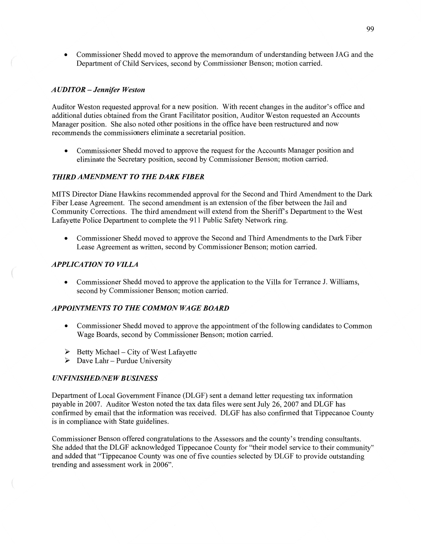**0** Commissioner Shedd moved to approve the memorandum of understanding between JAG and the Department of Child Services, second by Commissioner Benson; motion carried.

### *A* UDI TOR — *Jennifer Weston*

Auditor Weston requested approval for a new position. With recent changes in the auditor's office and additional duties obtained from the Grant Facilitator position, Auditor Weston requested an Accounts Manager position. She also noted other positions in the office have been restructured and now recommends the commissioners eliminate **a** secretarial position.

**0** Commissioner **Shedd** moved to approve the request for the Accounts Manager position and eliminate the Secretary position, second by Commissioner Benson; motion carried.

## **THIRD AMENDMENT TO THE DARK FIBER**

**MITS** Director Diane Hawkins recommended approval for the Second and Third Amendment to the Dark Fiber Lease Agreement. The second amendment is an extension of the fiber between the Jail and Community Corrections. The third amendment will extend from the Sheriff's Department to the West Lafayette Police Department to complete the 911 Public Safety Network ring.

**0** Commissioner Shedd moved to approve the Second and **Third** Amendments to the Dark Fiber Lease Agreement as written, second by Commissioner Benson; motion carried.

## *APPLICATION TO VILLA*

*0* Commissioner Shedd moved to approve the application to the Villa for Terrance J. Williams, second by Commissioner Benson; motion carried.

## **APPOINTMENTS TO THE COMMON WAGE BOARD**

- **0** Commissioner Shedd moved to approve the appointment of the following candidates to Common Wage Boards, second by Commissioner Benson; motion carried.
- > Betty Michael City of West Lafayette
- > Dave Lahr Purdue University

## *UNFINISHED/NEW BUSINESS*

 $\left($ 

Department of Local Government Finance (DLGF) sent a **demand** letter requesting tax information payable in 2007. Auditor Weston noted the tax data files were sent July 26, 2007 and DLGF has confirmed by email **that** the information was received. DLGF has also confirmed that Tippecanoe County is in compliance with State guidelines.

Commissioner Benson offered congratulations to the Assessors and the county's trending consultants. She added that the DLGF acknowledged Tippecanoe County for **"their model** service to their community" and added **that** "Tippecanoe County was one of five counties selected by DLGF to provide outstanding trending and assessment work in 2006".